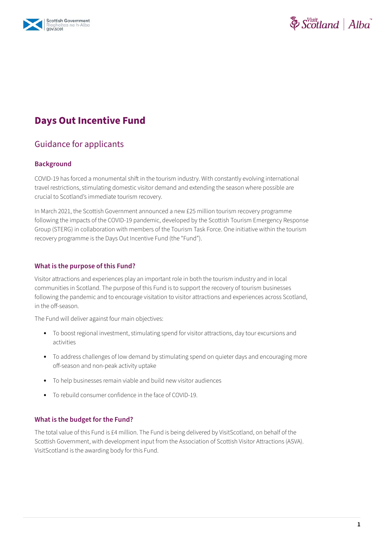



# **Days Out Incentive Fund**

## Guidance for applicants

#### **Background**

COVID-19 has forced a monumental shift in the tourism industry. With constantly evolving international travel restrictions, stimulating domestic visitor demand and extending the season where possible are crucial to Scotland's immediate tourism recovery.

In March 2021, the Scottish Government announced a new £25 million tourism recovery programme following the impacts of the COVID-19 pandemic, developed by the Scottish Tourism Emergency Response Group (STERG) in collaboration with members of the Tourism Task Force. One initiative within the tourism recovery programme is the Days Out Incentive Fund (the "Fund").

#### **What is the purpose of this Fund?**

Visitor attractions and experiences play an important role in both the tourism industry and in local communities in Scotland. The purpose of this Fund is to support the recovery of tourism businesses following the pandemic and to encourage visitation to visitor attractions and experiences across Scotland, in the off-season.

The Fund will deliver against four main objectives:

- **•** To boost regional investment, stimulating spend for visitor attractions, day tour excursions and activities
- **•** To address challenges of low demand by stimulating spend on quieter days and encouraging more off-season and non-peak activity uptake
- **•** To help businesses remain viable and build new visitor audiences
- **•** To rebuild consumer confidence in the face of COVID-19.

#### **What is the budget for the Fund?**

The total value of this Fund is £4 million. The Fund is being delivered by VisitScotland, on behalf of the Scottish Government, with development input from the Association of Scottish Visitor Attractions (ASVA). VisitScotland is the awarding body for this Fund.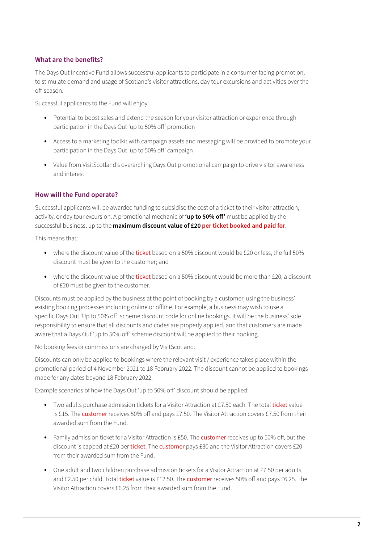### **What are the benefits?**

The Days Out Incentive Fund allows successful applicants to participate in a consumer-facing promotion, to stimulate demand and usage of Scotland's visitor attractions, day tour excursions and activities over the off-season.

Successful applicants to the Fund will enjoy:

- **•** Potential to boost sales and extend the season for your visitor attraction or experience through participation in the Days Out 'up to 50% off' promotion
- **•** Access to a marketing toolkit with campaign assets and messaging will be provided to promote your participation in the Days Out 'up to 50% off' campaign
- **•** Value from VisitScotland's overarching Days Out promotional campaign to drive visitor awareness and interest

#### **How will the Fund operate?**

Successful applicants will be awarded funding to subsidise the cost of a ticket to their visitor attraction, activity, or day tour excursion. A promotional mechanic of **'up to 50% off'** must be applied by the successful business, up to the **maximum discount value of £20 per ticket booked and paid for**.

This means that:

- where the discount value of the ticket based on a 50% discount would be £20 or less, the full 50% discount must be given to the customer; and
- where the discount value of the ticket based on a 50% discount would be more than £20, a discount of £20 must be given to the customer.

Discounts must be applied by the business at the point of booking by a customer, using the business' existing booking processes including online or offline. For example, a business may wish to use a specific Days Out 'Up to 50% off' scheme discount code for online bookings. It will be the business' sole responsibility to ensure that all discounts and codes are properly applied, and that customers are made aware that a Days Out 'up to 50% off' scheme discount will be applied to their booking.

No booking fees or commissions are charged by VisitScotland.

Discounts can only be applied to bookings where the relevant visit / experience takes place within the promotional period of 4 November 2021 to 18 February 2022. The discount cannot be applied to bookings made for any dates beyond 18 February 2022.

Example scenarios of how the Days Out 'up to 50% off' discount should be applied:

- **•** Two adults purchase admission tickets for a Visitor Attraction at £7.50 each. The total ticket value is £15. The customer receives 50% off and pays £7.50. The Visitor Attraction covers £7.50 from their awarded sum from the Fund.
- **•** Family admission ticket for a Visitor Attraction is £50. The customer receives up to 50% off, but the discount is capped at £20 per ticket. The customer pays £30 and the Visitor Attraction covers £20 from their awarded sum from the Fund.
- **•** One adult and two children purchase admission tickets for a Visitor Attraction at £7.50 per adults, and £2.50 per child. Total ticket value is £12.50. The customer receives 50% off and pays £6.25. The Visitor Attraction covers £6.25 from their awarded sum from the Fund.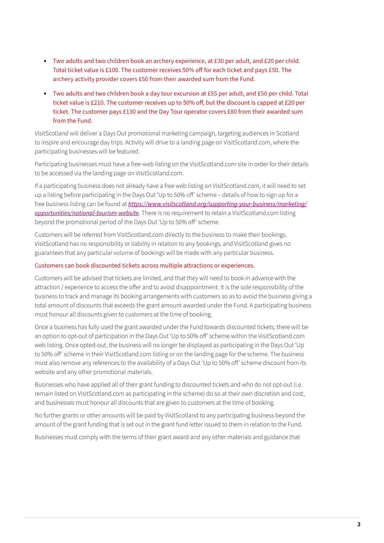- **•** Two adults and two children book an archery experience, at £30 per adult, and £20 per child. Total ticket value is £100. The customer receives 50% off for each ticket and pays £50. The archery activity provider covers £50 from their awarded sum from the Fund.
- **•** Two adults and two children book a day tour excursion at £55 per adult, and £50 per child. Total ticket value is £210. The customer receives up to 50% off, but the discount is capped at £20 per ticket. The customer pays £130 and the Day Tour operator covers £80 from their awarded sum from the Fund.

VisitScotland will deliver a Days Out promotional marketing campaign, targeting audiences in Scotland to inspire and encourage day trips. Activity will drive to a landing page on VisitScotland.com, where the participating businesses will be featured.

Participating businesses must have a free-web listing on the VisitScotland.com site in order for their details to be accessed via the landing page on VisitScotland.com.

If a participating business does not already have a free web listing on VisitScotland.com, it will need to set up a listing before participating in the Days Out 'Up to 50% off' scheme – details of how to sign up for a free business listing can be found at *[https://www.visitscotland.org/supporting-your-business/marketing/](https://www.visitscotland.org/supporting-your-business/marketing/opportunities/national-tourism-website) [opportunities/national-tourism-website](https://www.visitscotland.org/supporting-your-business/marketing/opportunities/national-tourism-website)*. There is no requirement to retain a VisitScotland.com listing beyond the promotional period of the Days Out 'Up to 50% off' scheme.

Customers will be referred from VisitScotland.com directly to the business to make their bookings. VisitScotland has no responsibility or liability in relation to any bookings, and VisitScotland gives no guarantees that any particular volume of bookings will be made with any particular business.

#### Customers can book discounted tickets across multiple attractions or experiences.

Customers will be advised that tickets are limited, and that they will need to book in advance with the attraction / experience to access the offer and to avoid disappointment. It is the sole responsibility of the business to track and manage its booking arrangements with customers so as to avoid the business giving a total amount of discounts that exceeds the grant amount awarded under the Fund. A participating business must honour all discounts given to customers at the time of booking.

Once a business has fully used the grant awarded under the Fund towards discounted tickets, there will be an option to opt-out of participation in the Days Out 'Up to 50% off' scheme within the VisitScotland.com web listing. Once opted-out, the business will no longer be displayed as participating in the Days Out 'Up to 50% off' scheme in their VisitScotland.com listing or on the landing page for the scheme. The business must also remove any references to the availability of a Days Out 'Up to 50% off' scheme discount from its website and any other promotional materials.

Businesses who have applied all of their grant funding to discounted tickets and who do not opt-out (i.e. remain listed on VisitScotland.com as participating in the scheme) do so at their own discretion and cost, and businesses must honour all discounts that are given to customers at the time of booking.

No further grants or other amounts will be paid by VisitScotland to any participating business beyond the amount of the grant funding that is set out in the grant fund letter issued to them in relation to the Fund.

Businesses must comply with the terms of their grant award and any other materials and guidance that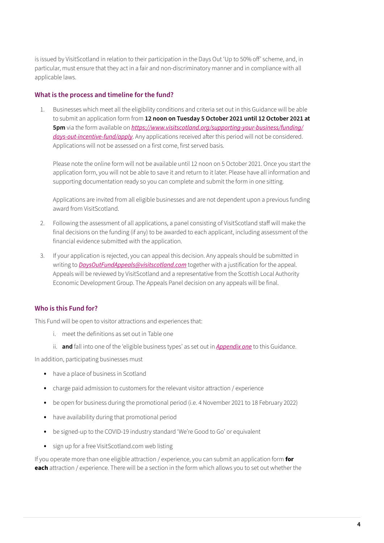is issued by VisitScotland in relation to their participation in the Days Out 'Up to 50% off' scheme, and, in particular, must ensure that they act in a fair and non-discriminatory manner and in compliance with all applicable laws.

#### **What is the process and timeline for the fund?**

1. Businesses which meet all the eligibility conditions and criteria set out in this Guidance will be able to submit an application form from **12 noon on Tuesday 5 October 2021 until 12 October 2021 at 5pm** via the form available on *[https://www.visitscotland.org/supporting-your-business/funding/](https://www.visitscotland.org/supporting-your-business/funding/days-out-incentive-fund/apply) [days-out-incentive-fund/apply](https://www.visitscotland.org/supporting-your-business/funding/days-out-incentive-fund/apply)*. Any applications received after this period will not be considered. Applications will not be assessed on a first come, first served basis.

Please note the online form will not be available until 12 noon on 5 October 2021. Once you start the application form, you will not be able to save it and return to it later. Please have all information and supporting documentation ready so you can complete and submit the form in one sitting.

Applications are invited from all eligible businesses and are not dependent upon a previous funding award from VisitScotland.

- 2. Following the assessment of all applications, a panel consisting of VisitScotland staff will make the final decisions on the funding (if any) to be awarded to each applicant, including assessment of the financial evidence submitted with the application.
- 3. If your application is rejected, you can appeal this decision. Any appeals should be submitted in writing to *[DaysOutFundAppeals@visitscotland.com](mailto:DaysOutFundAppeals%40visitscotland.com?subject=)* together with a justification for the appeal. Appeals will be reviewed by VisitScotland and a representative from the Scottish Local Authority Economic Development Group. The Appeals Panel decision on any appeals will be final.

## **Who is this Fund for?**

This Fund will be open to visitor attractions and experiences that:

- i. meet the definitions as set out in Table one
- ii. **and** fall into one of the 'eligible business types' as set out in *[Appendix](#page-10-0) one* to this Guidance.

In addition, participating businesses must

- **•** have a place of business in Scotland
- **•** charge paid admission to customers for the relevant visitor attraction / experience
- **•** be open for business during the promotional period (i.e. 4 November 2021 to 18 February 2022)
- **•** have availability during that promotional period
- **•** be signed-up to the COVID-19 industry standard 'We're Good to Go' or equivalent
- **•** sign up for a free VisitScotland.com web listing

If you operate more than one eligible attraction / experience, you can submit an application form **for each** attraction / experience. There will be a section in the form which allows you to set out whether the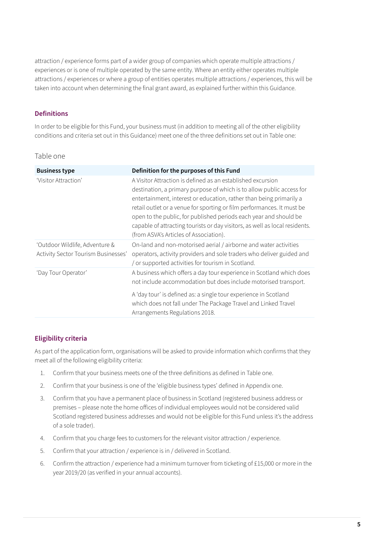attraction / experience forms part of a wider group of companies which operate multiple attractions / experiences or is one of multiple operated by the same entity. Where an entity either operates multiple attractions / experiences or where a group of entities operates multiple attractions / experiences, this will be taken into account when determining the final grant award, as explained further within this Guidance.

### **Definitions**

In order to be eligible for this Fund, your business must (in addition to meeting all of the other eligibility conditions and criteria set out in this Guidance) meet one of the three definitions set out in Table one:

#### Table one

| <b>Business type</b>                                                  | Definition for the purposes of this Fund                                                                                                                                                                                                                                                                                                                                                                                                                                            |
|-----------------------------------------------------------------------|-------------------------------------------------------------------------------------------------------------------------------------------------------------------------------------------------------------------------------------------------------------------------------------------------------------------------------------------------------------------------------------------------------------------------------------------------------------------------------------|
| 'Visitor Attraction'                                                  | A Visitor Attraction is defined as an established excursion<br>destination, a primary purpose of which is to allow public access for<br>entertainment, interest or education, rather than being primarily a<br>retail outlet or a venue for sporting or film performances. It must be<br>open to the public, for published periods each year and should be<br>capable of attracting tourists or day visitors, as well as local residents.<br>(from ASVA's Articles of Association). |
| 'Outdoor Wildlife, Adventure &<br>Activity Sector Tourism Businesses' | On-land and non-motorised aerial / airborne and water activities<br>operators, activity providers and sole traders who deliver guided and<br>/ or supported activities for tourism in Scotland.                                                                                                                                                                                                                                                                                     |
| 'Day Tour Operator'                                                   | A business which offers a day tour experience in Scotland which does<br>not include accommodation but does include motorised transport.                                                                                                                                                                                                                                                                                                                                             |
|                                                                       | A 'day tour' is defined as: a single tour experience in Scotland<br>which does not fall under The Package Travel and Linked Travel<br>Arrangements Regulations 2018.                                                                                                                                                                                                                                                                                                                |

## **Eligibility criteria**

As part of the application form, organisations will be asked to provide information which confirms that they meet all of the following eligibility criteria:

- 1. Confirm that your business meets one of the three definitions as defined in Table one.
- 2. Confirm that your business is one of the 'eligible business types' defined in Appendix one.
- 3. Confirm that you have a permanent place of business in Scotland (registered business address or premises – please note the home offices of individual employees would not be considered valid Scotland registered business addresses and would not be eligible for this Fund unless it's the address of a sole trader).
- 4. Confirm that you charge fees to customers for the relevant visitor attraction / experience.
- 5. Confirm that your attraction / experience is in / delivered in Scotland.
- 6. Confirm the attraction / experience had a minimum turnover from ticketing of £15,000 or more in the year 2019/20 (as verified in your annual accounts).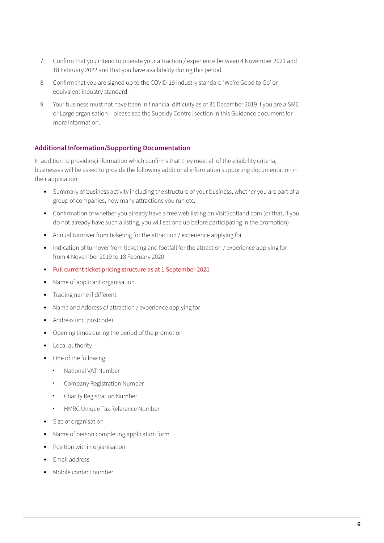- 7. Confirm that you intend to operate your attraction / experience between 4 November 2021 and 18 February 2022 and that you have availability during this period.
- 8. Confirm that you are signed up to the COVID-19 industry standard 'We're Good to Go' or equivalent industry standard.
- 9. Your business must not have been in financial difficulty as of 31 December 2019 if you are a SME or Large organisation – please see the Subsidy Control section in this Guidance document for more information.

## **Additional Information/Supporting Documentation**

In addition to providing information which confirms that they meet all of the eligibility criteria, businesses will be asked to provide the following additional information supporting documentation in their application:

- **•** Summary of business activity including the structure of your business, whether you are part of a group of companies, how many attractions you run etc.
- **•** Confirmation of whether you already have a free web listing on VisitScotland.com (or that, if you do not already have such a listing, you will set one up before participating in the promotion)
- **•** Annual turnover from ticketing for the attraction / experience applying for
- **•** Indication of turnover from ticketing and footfall for the attraction / experience applying for from 4 November 2019 to 18 February 2020
- **•** Full current ticket pricing structure as at 1 September 2021
- **•** Name of applicant organisation
- **•** Trading name if different
- **•** Name and Address of attraction / experience applying for
- **•** Address (inc. postcode)
- **•** Opening times during the period of the promotion
- **•** Local authority
- **•** One of the following:
	- **·** National VAT Number
	- **·** Company Registration Number
	- **·** Charity Registration Number
	- **·** HMRC Unique Tax Reference Number
- **•** Size of organisation
- **•** Name of person completing application form
- **•** Position within organisation
- **•** Email address
- **•** Mobile contact number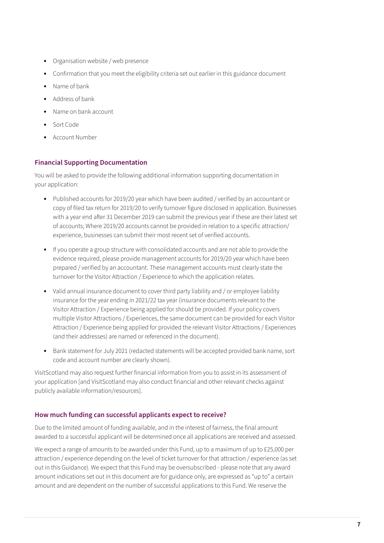- **•** Organisation website / web presence
- **•** Confirmation that you meet the eligibility criteria set out earlier in this guidance document
- **•** Name of bank
- **•** Address of bank
- **•** Name on bank account
- **•** Sort Code
- **•** Account Number

#### **Financial Supporting Documentation**

You will be asked to provide the following additional information supporting documentation in your application:

- **•** Published accounts for 2019/20 year which have been audited / verified by an accountant or copy of filed tax return for 2019/20 to verify turnover figure disclosed in application. Businesses with a year end after 31 December 2019 can submit the previous year if these are their latest set of accounts; Where 2019/20 accounts cannot be provided in relation to a specific attraction/ experience, businesses can submit their most recent set of verified accounts.
- **•** If you operate a group structure with consolidated accounts and are not able to provide the evidence required, please provide management accounts for 2019/20 year which have been prepared / verified by an accountant. These management accounts must clearly state the turnover for the Visitor Attraction / Experience to which the application relates.
- Valid annual insurance document to cover third party liability and / or employee liability insurance for the year ending in 2021/22 tax year (insurance documents relevant to the Visitor Attraction / Experience being applied for should be provided. If your policy covers multiple Visitor Attractions / Experiences, the same document can be provided for each Visitor Attraction / Experience being applied for provided the relevant Visitor Attractions / Experiences (and their addresses) are named or referenced in the document).
- **•** Bank statement for July 2021 (redacted statements will be accepted provided bank name, sort code and account number are clearly shown).

VisitScotland may also request further financial information from you to assist in its assessment of your application [and VisitScotland may also conduct financial and other relevant checks against publicly available information/resources].

#### **How much funding can successful applicants expect to receive?**

Due to the limited amount of funding available, and in the interest of fairness, the final amount awarded to a successful applicant will be determined once all applications are received and assessed.

We expect a range of amounts to be awarded under this Fund, up to a maximum of up to £25,000 per attraction / experience depending on the level of ticket turnover for that attraction / experience (as set out in this Guidance). We expect that this Fund may be oversubscribed - please note that any award amount indications set out in this document are for guidance only, are expressed as "up to" a certain amount and are dependent on the number of successful applications to this Fund. We reserve the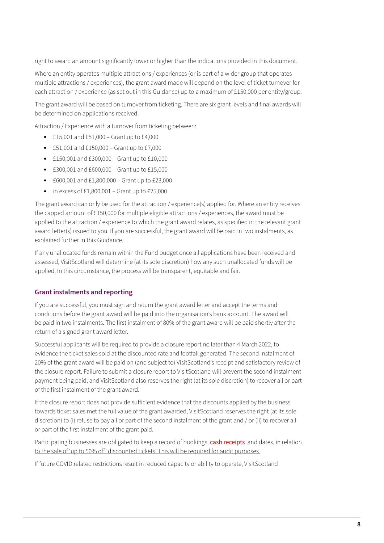right to award an amount significantly lower or higher than the indications provided in this document.

Where an entity operates multiple attractions / experiences (or is part of a wider group that operates multiple attractions / experiences), the grant award made will depend on the level of ticket turnover for each attraction / experience (as set out in this Guidance) up to a maximum of £150,000 per entity/group.

The grant award will be based on turnover from ticketing. There are six grant levels and final awards will be determined on applications received.

Attraction / Experience with a turnover from ticketing between:

- **•** £15,001 and £51,000 Grant up to £4,000
- **•** £51,001 and £150,000 Grant up to £7,000
- **•** £150,001 and £300,000 Grant up to £10,000
- **•** £300,001 and £600,000 Grant up to £15,000
- **•** £600,001 and £1,800,000 Grant up to £23,000
- **•** in excess of £1,800,001 Grant up to £25,000

The grant award can only be used for the attraction / experience(s) applied for. Where an entity receives the capped amount of £150,000 for multiple eligible attractions / experiences, the award must be applied to the attraction / experience to which the grant award relates, as specified in the relevant grant award letter(s) issued to you. If you are successful, the grant award will be paid in two instalments, as explained further in this Guidance.

If any unallocated funds remain within the Fund budget once all applications have been received and assessed, VisitScotland will determine (at its sole discretion) how any such unallocated funds will be applied. In this circumstance, the process will be transparent, equitable and fair.

#### **Grant instalments and reporting**

If you are successful, you must sign and return the grant award letter and accept the terms and conditions before the grant award will be paid into the organisation's bank account. The award will be paid in two instalments. The first instalment of 80% of the grant award will be paid shortly after the return of a signed grant award letter.

Successful applicants will be required to provide a closure report no later than 4 March 2022, to evidence the ticket sales sold at the discounted rate and footfall generated. The second instalment of 20% of the grant award will be paid on (and subject to) VisitScotland's receipt and satisfactory review of the closure report. Failure to submit a closure report to VisitScotland will prevent the second instalment payment being paid, and VisitScotland also reserves the right (at its sole discretion) to recover all or part of the first instalment of the grant award.

If the closure report does not provide sufficient evidence that the discounts applied by the business towards ticket sales met the full value of the grant awarded, VisitScotland reserves the right (at its sole discretion) to (i) refuse to pay all or part of the second instalment of the grant and / or (ii) to recover all or part of the first instalment of the grant paid.

Participating businesses are obligated to keep a record of bookings, cash receipts and dates, in relation to the sale of 'up to 50% off' discounted tickets. This will be required for audit purposes.

If future COVID related restrictions result in reduced capacity or ability to operate, VisitScotland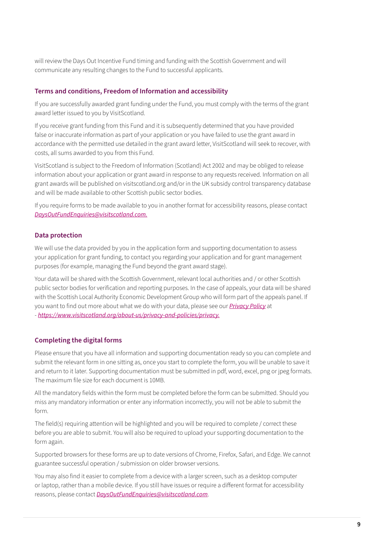will review the Days Out Incentive Fund timing and funding with the Scottish Government and will communicate any resulting changes to the Fund to successful applicants.

#### **Terms and conditions, Freedom of Information and accessibility**

If you are successfully awarded grant funding under the Fund, you must comply with the terms of the grant award letter issued to you by VisitScotland.

If you receive grant funding from this Fund and it is subsequently determined that you have provided false or inaccurate information as part of your application or you have failed to use the grant award in accordance with the permitted use detailed in the grant award letter, VisitScotland will seek to recover, with costs, all sums awarded to you from this Fund.

VisitScotland is subject to the Freedom of Information (Scotland) Act 2002 and may be obliged to release information about your application or grant award in response to any requests received. Information on all grant awards will be published on visitscotland.org and/or in the UK subsidy control transparency database and will be made available to other Scottish public sector bodies.

If you require forms to be made available to you in another format for accessibility reasons, please contact *[DaysOutFundEnquiries@visitscotland.com.](mailto:DaysOutFundEnquiries%40visitscotland.com.%20?subject=)*

#### **Data protection**

We will use the data provided by you in the application form and supporting documentation to assess your application for grant funding, to contact you regarding your application and for grant management purposes (for example, managing the Fund beyond the grant award stage).

Your data will be shared with the Scottish Government, relevant local authorities and / or other Scottish public sector bodies for verification and reporting purposes. In the case of appeals, your data will be shared with the Scottish Local Authority Economic Development Group who will form part of the appeals panel. If you want to find out more about what we do with your data, please see our *[Privacy Policy](https://www.visitscotland.org/about-us/privacy-and-policies/privacy)* at - *[https://www.visitscotland.org/about-us/privacy-and-policies/privacy.](https://www.visitscotland.org/about-us/privacy-and-policies/privacy)*

#### **Completing the digital forms**

Please ensure that you have all information and supporting documentation ready so you can complete and submit the relevant form in one sitting as, once you start to complete the form, you will be unable to save it and return to it later. Supporting documentation must be submitted in pdf, word, excel, png or jpeg formats. The maximum file size for each document is 10MB.

All the mandatory fields within the form must be completed before the form can be submitted. Should you miss any mandatory information or enter any information incorrectly, you will not be able to submit the form.

The field(s) requiring attention will be highlighted and you will be required to complete / correct these before you are able to submit. You will also be required to upload your supporting documentation to the form again.

Supported browsers for these forms are up to date versions of Chrome, Firefox, Safari, and Edge. We cannot guarantee successful operation / submission on older browser versions.

You may also find it easier to complete from a device with a larger screen, such as a desktop computer or laptop, rather than a mobile device. If you still have issues or require a different format for accessibility reasons, please contact *[DaysOutFundEnquiries@visitscotland.com](mailto:DaysOutFundEnquiries%40visitscotland.com?subject=)*.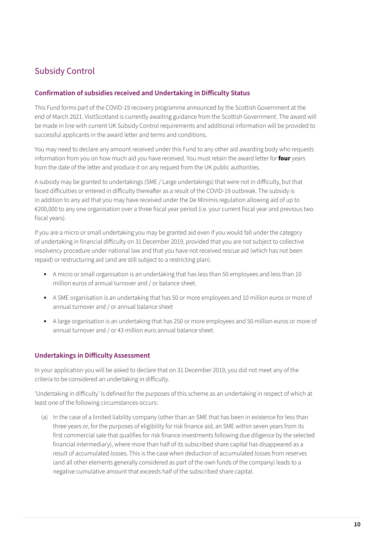# Subsidy Control

## **Confirmation of subsidies received and Undertaking in Difficulty Status**

This Fund forms part of the COVID-19 recovery programme announced by the Scottish Government at the end of March 2021. VisitScotland is currently awaiting guidance from the Scottish Government. The award will be made in line with current UK Subsidy Control requirements and additional information will be provided to successful applicants in the award letter and terms and conditions.

You may need to declare any amount received under this Fund to any other aid awarding body who requests information from you on how much aid you have received. You must retain the award letter for **four** years from the date of the letter and produce it on any request from the UK public authorities.

A subsidy may be granted to undertakings (SME / Large undertakings) that were not in difficulty, but that faced difficulties or entered in difficulty thereafter as a result of the COVID-19 outbreak. The subsidy is in addition to any aid that you may have received under the De Minimis regulation allowing aid of up to €200,000 to any one organisation over a three fiscal year period (i.e. your current fiscal year and previous two fiscal years).

If you are a micro or small undertaking you may be granted aid even if you would fall under the category of undertaking in financial difficulty on 31 December 2019, provided that you are not subject to collective insolvency procedure under national law and that you have not received rescue aid (which has not been repaid) or restructuring aid (and are still subject to a restricting plan).

- **•** A micro or small organisation is an undertaking that has less than 50 employees and less than 10 million euros of annual turnover and / or balance sheet.
- **•** A SME organisation is an undertaking that has 50 or more employees and 10 million euros or more of annual turnover and / or annual balance sheet
- **•** A large organisation is an undertaking that has 250 or more employees and 50 million euros or more of annual turnover and / or 43 million euro annual balance sheet.

#### **Undertakings in Difficulty Assessment**

In your application you will be asked to declare that on 31 December 2019, you did not meet any of the criteria to be considered an undertaking in difficulty.

'Undertaking in difficulty' is defined for the purposes of this scheme as an undertaking in respect of which at least one of the following circumstances occurs:

(a) In the case of a limited liability company (other than an SME that has been in existence for less than three years or, for the purposes of eligibility for risk finance aid, an SME within seven years from its first commercial sale that qualifies for risk finance investments following due diligence by the selected financial intermediary), where more than half of its subscribed share capital has disappeared as a result of accumulated losses. This is the case when deduction of accumulated losses from reserves (and all other elements generally considered as part of the own funds of the company) leads to a negative cumulative amount that exceeds half of the subscribed share capital.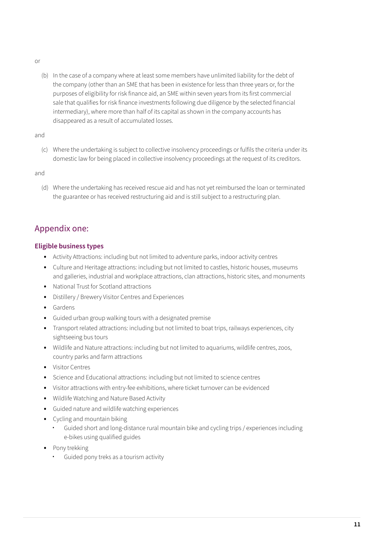- <span id="page-10-0"></span>or
	- (b) In the case of a company where at least some members have unlimited liability for the debt of the company (other than an SME that has been in existence for less than three years or, for the purposes of eligibility for risk finance aid, an SME within seven years from its first commercial sale that qualifies for risk finance investments following due diligence by the selected financial intermediary), where more than half of its capital as shown in the company accounts has disappeared as a result of accumulated losses.

and

(c) Where the undertaking is subject to collective insolvency proceedings or fulfils the criteria under its domestic law for being placed in collective insolvency proceedings at the request of its creditors.

and

(d) Where the undertaking has received rescue aid and has not yet reimbursed the loan or terminated the guarantee or has received restructuring aid and is still subject to a restructuring plan.

## Appendix one:

## **Eligible business types**

- **•** Activity Attractions: including but not limited to adventure parks, indoor activity centres
- **•** Culture and Heritage attractions: including but not limited to castles, historic houses, museums and galleries, industrial and workplace attractions, clan attractions, historic sites, and monuments
- **•** National Trust for Scotland attractions
- **•** Distillery / Brewery Visitor Centres and Experiences
- **•** Gardens
- **•** Guided urban group walking tours with a designated premise
- **•** Transport related attractions: including but not limited to boat trips, railways experiences, city sightseeing bus tours
- **•** Wildlife and Nature attractions: including but not limited to aquariums, wildlife centres, zoos, country parks and farm attractions
- **•** Visitor Centres
- **•** Science and Educational attractions: including but not limited to science centres
- **•** Visitor attractions with entry-fee exhibitions, where ticket turnover can be evidenced
- **•** Wildlife Watching and Nature Based Activity
- **•** Guided nature and wildlife watching experiences
- **•** Cycling and mountain biking
	- **·** Guided short and long-distance rural mountain bike and cycling trips / experiences including e-bikes using qualified guides
- **•** Pony trekking
	- **·** Guided pony treks as a tourism activity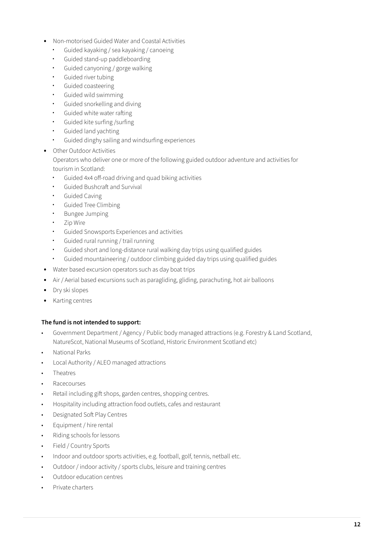- **•** Non-motorised Guided Water and Coastal Activities
	- **·** Guided kayaking / sea kayaking / canoeing
	- **·** Guided stand-up paddleboarding
	- **·** Guided canyoning / gorge walking
	- **·** Guided river tubing
	- **·** Guided coasteering
	- **·** Guided wild swimming
	- **·** Guided snorkelling and diving
	- **·** Guided white water rafting
	- **·** Guided kite surfing /surfing
	- **·** Guided land yachting
	- **·** Guided dinghy sailing and windsurfing experiences
- **•** Other Outdoor Activities

Operators who deliver one or more of the following guided outdoor adventure and activities for tourism in Scotland:

- **·** Guided 4x4 off-road driving and quad biking activities
- **·** Guided Bushcraft and Survival
- **·** Guided Caving
- **·** Guided Tree Climbing
- **·** Bungee Jumping
- **·** Zip Wire
- **·** Guided Snowsports Experiences and activities
- **·** Guided rural running / trail running
- **·** Guided short and long-distance rural walking day trips using qualified guides
- **·** Guided mountaineering / outdoor climbing guided day trips using qualified guides
- **•** Water based excursion operators such as day boat trips
- **•** Air / Aerial based excursions such as paragliding, gliding, parachuting, hot air balloons
- **•** Dry ski slopes
- **•** Karting centres

#### **The fund is not intended to support:**

- Government Department / Agency / Public body managed attractions (e.g. Forestry & Land Scotland, NatureScot, National Museums of Scotland, Historic Environment Scotland etc)
- National Parks
- Local Authority / ALEO managed attractions
- Theatres
- Racecourses
- Retail including gift shops, garden centres, shopping centres.
- Hospitality including attraction food outlets, cafes and restaurant
- Designated Soft Play Centres
- Equipment / hire rental
- Riding schools for lessons
- Field / Country Sports
- Indoor and outdoor sports activities, e.g. football, golf, tennis, netball etc.
- Outdoor / indoor activity / sports clubs, leisure and training centres
- Outdoor education centres
- Private charters